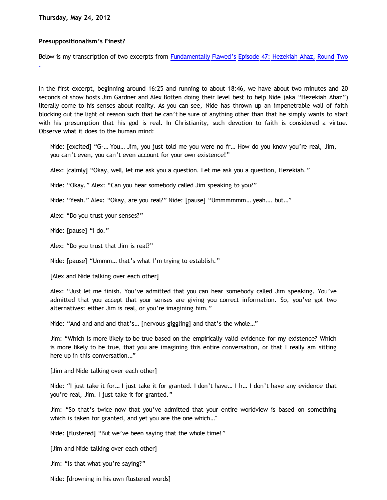**Thursday, May 24, 2012**

## **Presuppositionalism's Finest?**

Below is my transcription of two excerpts from [Fundamentally Flawed's](http://fundamentally-flawed.com/pods/?p=home) [Episode 47: Hezekiah Ahaz, Round Two](http://fundamentally-flawed.com/pods/?p=episode&name=2012-04-27_47_episode_47__hezekiah_ahaz_round_two.mp3) [.](http://www.blogger.com/)

In the first excerpt, beginning around 16:25 and running to about 18:46, we have about two minutes and 20 seconds of show hosts Jim Gardner and Alex Botten doing their level best to help Nide (aka "Hezekiah Ahaz") literally come to his senses about reality. As you can see, Nide has thrown up an impenetrable wall of faith blocking out the light of reason such that he can't be sure of anything other than that he simply wants to start with his presumption that his god is real. In Christianity, such devotion to faith is considered a virtue. Observe what it does to the human mind:

Nide: [excited] "G-… You… Jim, you just told me you were no fr… How do you know you're real, Jim, you can't even, you can't even account for your own existence!"

Alex: [calmly] "Okay, well, let me ask you a question. Let me ask you a question, Hezekiah."

Nide: "Okay." Alex: "Can you hear somebody called Jim speaking to you?"

Nide: "Yeah." Alex: "Okay, are you real?" Nide: [pause] "Ummmmmm… yeah…. but…"

Alex: "Do you trust your senses?"

Nide: [pause] "I do."

Alex: "Do you trust that Jim is real?"

Nide: [pause] "Ummm… that's what I'm trying to establish."

[Alex and Nide talking over each other]

Alex: "Just let me finish. You've admitted that you can hear somebody called Jim speaking. You've admitted that you accept that your senses are giving you correct information. So, you've got two alternatives: either Jim is real, or you're imagining him."

Nide: "And and and and that's… [nervous giggling] and that's the whole…"

Jim: "Which is more likely to be true based on the empirically valid evidence for my existence? Which is more likely to be true, that you are imagining this entire conversation, or that I really am sitting here up in this conversation…"

[Jim and Nide talking over each other]

Nide: "I just take it for… I just take it for granted. I don't have… I h… I don't have any evidence that you're real, Jim. I just take it for granted."

Jim: "So that's twice now that you've admitted that your entire worldview is based on something which is taken for granted, and yet you are the one which…"

Nide: [flustered] "But we've been saying that the whole time!"

[Jim and Nide talking over each other]

Jim: "Is that what you're saying?"

Nide: [drowning in his own flustered words]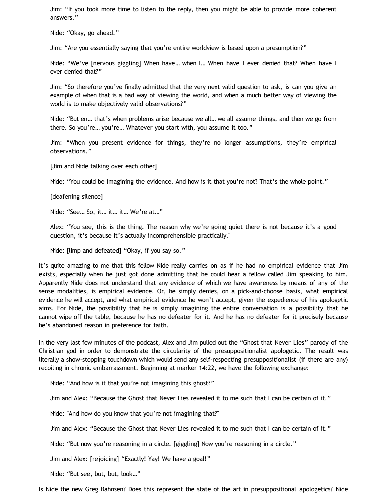Jim: "If you took more time to listen to the reply, then you might be able to provide more coherent answers."

Nide: "Okay, go ahead."

Jim: "Are you essentially saying that you're entire worldview is based upon a presumption?"

Nide: "We've [nervous giggling] When have… when I… When have I ever denied that? When have I ever denied that?"

Jim: "So therefore you've finally admitted that the very next valid question to ask, is can you give an example of when that is a bad way of viewing the world, and when a much better way of viewing the world is to make objectively valid observations?"

Nide: "But en… that's when problems arise because we all… we all assume things, and then we go from there. So you're… you're… Whatever you start with, you assume it too."

Jim: "When you present evidence for things, they're no longer assumptions, they're empirical observations."

[Jim and Nide talking over each other]

Nide: "You could be imagining the evidence. And how is it that you're not? That's the whole point."

[deafening silence]

Nide: "See… So, it… it… it… We're at…"

Alex: "You see, this is the thing. The reason why we're going quiet there is not because it's a good question, it's because it's actually incomprehensible practically."

Nide: [limp and defeated] "Okay, if you say so."

It's quite amazing to me that this fellow Nide really carries on as if he had no empirical evidence that Jim exists, especially when he just got done admitting that he could hear a fellow called Jim speaking to him. Apparently Nide does not understand that any evidence of which we have awareness by means of any of the sense modalities, is empirical evidence. Or, he simply denies, on a pick-and-choose basis, what empirical evidence he will accept, and what empirical evidence he won't accept, given the expedience of his apologetic aims. For Nide, the possibility that he is simply imagining the entire conversation is a possibility that he cannot wipe off the table, because he has no defeater for it. And he has no defeater for it precisely because he's abandoned reason in preference for faith.

In the very last few minutes of the podcast, Alex and Jim pulled out the "Ghost that Never Lies" parody of the Christian god in order to demonstrate the circularity of the presuppositionalist apologetic. The result was literally a show-stopping touchdown which would send any self-respecting presuppositionalist (if there are any) recoiling in chronic embarrassment. Beginning at marker 14:22, we have the following exchange:

Nide: "And how is it that you're not imagining this ghost?"

Jim and Alex: "Because the Ghost that Never Lies revealed it to me such that I can be certain of it."

Nide: "And how do you know that you're not imagining that?"

Jim and Alex: "Because the Ghost that Never Lies revealed it to me such that I can be certain of it."

Nide: "But now you're reasoning in a circle. [giggling] Now you're reasoning in a circle."

Jim and Alex: [rejoicing] "Exactly! Yay! We have a goal!"

Nide: "But see, but, but, look…"

Is Nide the new Greg Bahnsen? Does this represent the state of the art in presuppositional apologetics? Nide